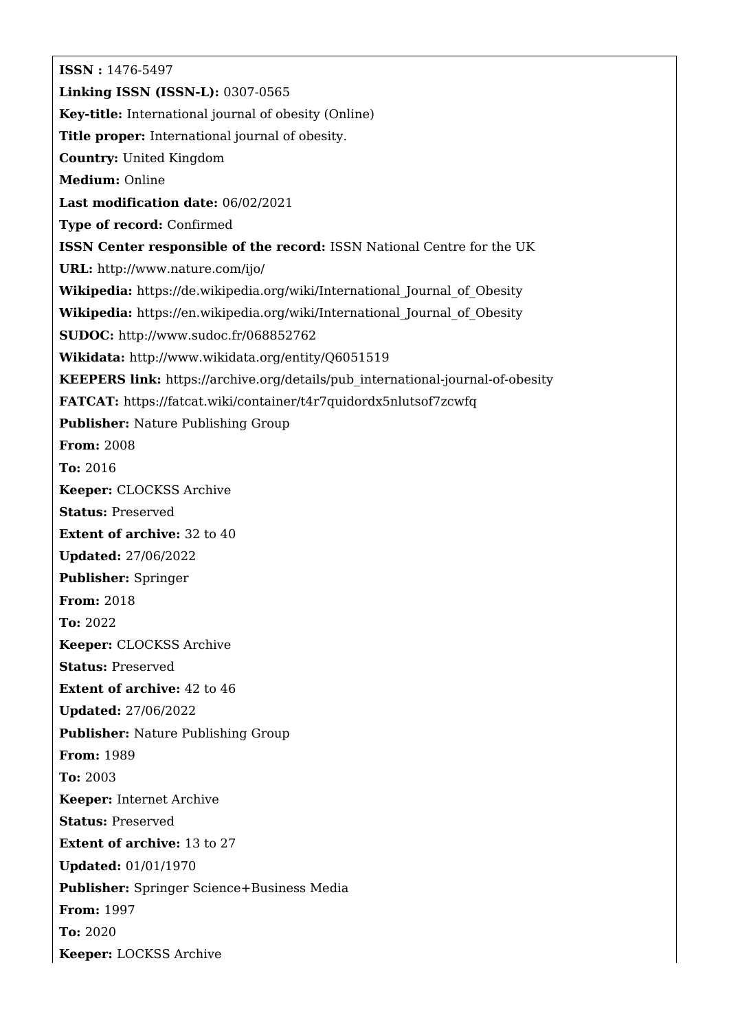**ISSN :** 1476-5497 **Linking ISSN (ISSN-L):** 0307-0565 **Key-title:** International journal of obesity (Online) **Title proper:** International journal of obesity. **Country:** United Kingdom **Medium:** Online **Last modification date:** 06/02/2021 **Type of record:** Confirmed **ISSN Center responsible of the record:** ISSN National Centre for the UK **URL:** <http://www.nature.com/ijo/> Wikipedia: https://de.wikipedia.org/wiki/International Journal of Obesity Wikipedia: https://en.wikipedia.org/wiki/International Journal of Obesity **SUDOC:** <http://www.sudoc.fr/068852762> **Wikidata:** <http://www.wikidata.org/entity/Q6051519> **KEEPERS link:** [https://archive.org/details/pub\\_international-journal-of-obesity](https://archive.org/details/pub_international-journal-of-obesity) **FATCAT:** <https://fatcat.wiki/container/t4r7quidordx5nlutsof7zcwfq> **Publisher:** Nature Publishing Group **From:** 2008 **To:** 2016 **Keeper:** CLOCKSS Archive **Status:** Preserved **Extent of archive:** 32 to 40 **Updated:** 27/06/2022 **Publisher:** Springer **From:** 2018 **To:** 2022 **Keeper:** CLOCKSS Archive **Status:** Preserved **Extent of archive:** 42 to 46 **Updated:** 27/06/2022 **Publisher:** Nature Publishing Group **From:** 1989 **To:** 2003 **Keeper:** Internet Archive **Status:** Preserved **Extent of archive:** 13 to 27 **Updated:** 01/01/1970 **Publisher:** Springer Science+Business Media **From:** 1997 **To:** 2020 **Keeper:** LOCKSS Archive